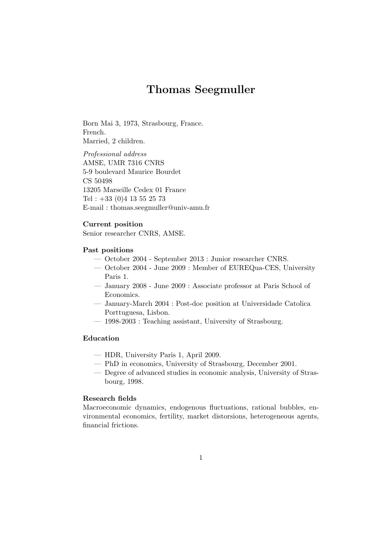# Thomas Seegmuller

Born Mai 3, 1973, Strasbourg, France. French. Married, 2 children.

Professional address AMSE, UMR 7316 CNRS 5-9 boulevard Maurice Bourdet CS 50498 13205 Marseille Cedex 01 France Tel : +33 (0)4 13 55 25 73 E-mail : thomas.seegmuller@univ-amu.fr

# Current position

Senior researcher CNRS, AMSE.

#### Past positions

- October 2004 September 2013 : Junior researcher CNRS.
- October 2004 June 2009 : Member of EUREQua-CES, University Paris 1.
- January 2008 June 2009 : Associate professor at Paris School of Economics.
- January-March 2004 : Post-doc position at Universidade Catolica Porttuguesa, Lisbon.
- 1998-2003 : Teaching assistant, University of Strasbourg.

# Education

- HDR, University Paris 1, April 2009.
- PhD in economics, University of Strasbourg, December 2001.
- Degree of advanced studies in economic analysis, University of Strasbourg, 1998.

# Research fields

Macroeconomic dynamics, endogenous fluctuations, rational bubbles, environmental economics, fertility, market distorsions, heterogeneous agents, financial frictions.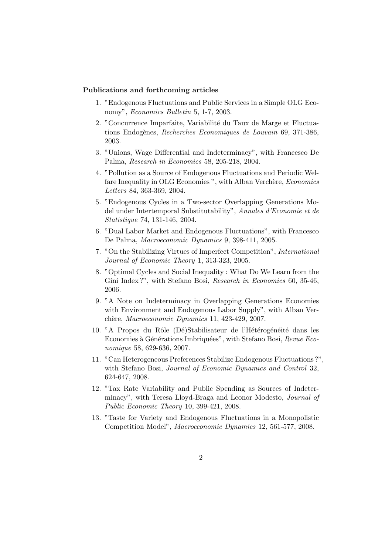# Publications and forthcoming articles

- 1. "Endogenous Fluctuations and Public Services in a Simple OLG Economy", Economics Bulletin 5, 1-7, 2003.
- 2. "Concurrence Imparfaite, Variabilité du Taux de Marge et Fluctuations Endogènes, Recherches Economiques de Louvain 69, 371-386, 2003.
- 3. "Unions, Wage Differential and Indeterminacy", with Francesco De Palma, Research in Economics 58, 205-218, 2004.
- 4. "Pollution as a Source of Endogenous Fluctuations and Periodic Welfare Inequality in OLG Economies", with Alban Verchère, Economics Letters 84, 363-369, 2004.
- 5. "Endogenous Cycles in a Two-sector Overlapping Generations Model under Intertemporal Substitutability", Annales d'Economie et de Statistique 74, 131-146, 2004.
- 6. "Dual Labor Market and Endogenous Fluctuations", with Francesco De Palma, Macroeconomic Dynamics 9, 398-411, 2005.
- 7. "On the Stabilizing Virtues of Imperfect Competition", International Journal of Economic Theory 1, 313-323, 2005.
- 8. "Optimal Cycles and Social Inequality : What Do We Learn from the Gini Index ?", with Stefano Bosi, Research in Economics 60, 35-46, 2006.
- 9. "A Note on Indeterminacy in Overlapping Generations Economies with Environment and Endogenous Labor Supply", with Alban Verchère, Macroeconomic Dynamics 11, 423-429, 2007.
- 10. "A Propos du Rôle (Dé)Stabilisateur de l'Hétérogénéité dans les Economies à Générations Imbriquées", with Stefano Bosi, Revue Economique 58, 629-636, 2007.
- 11. "Can Heterogeneous Preferences Stabilize Endogenous Fluctuations ?", with Stefano Bosi, Journal of Economic Dynamics and Control 32, 624-647, 2008.
- 12. "Tax Rate Variability and Public Spending as Sources of Indeterminacy", with Teresa Lloyd-Braga and Leonor Modesto, *Journal of* Public Economic Theory 10, 399-421, 2008.
- 13. "Taste for Variety and Endogenous Fluctuations in a Monopolistic Competition Model", Macroeconomic Dynamics 12, 561-577, 2008.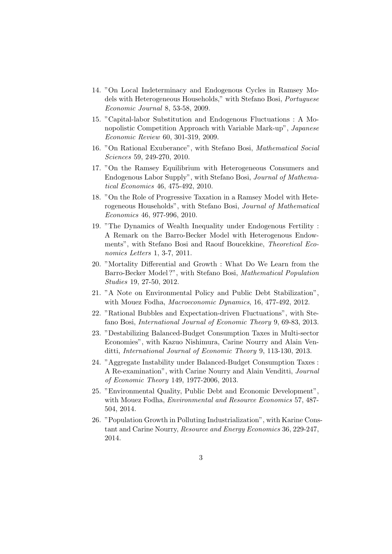- 14. "On Local Indeterminacy and Endogenous Cycles in Ramsey Models with Heterogeneous Households," with Stefano Bosi, Portuguese Economic Journal 8, 53-58, 2009.
- 15. "Capital-labor Substitution and Endogenous Fluctuations : A Monopolistic Competition Approach with Variable Mark-up", Japanese Economic Review 60, 301-319, 2009.
- 16. "On Rational Exuberance", with Stefano Bosi, Mathematical Social Sciences 59, 249-270, 2010.
- 17. "On the Ramsey Equilibrium with Heterogeneous Consumers and Endogenous Labor Supply", with Stefano Bosi, Journal of Mathematical Economics 46, 475-492, 2010.
- 18. "On the Role of Progressive Taxation in a Ramsey Model with Heterogeneous Households", with Stefano Bosi, Journal of Mathematical Economics 46, 977-996, 2010.
- 19. "The Dynamics of Wealth Inequality under Endogenous Fertility : A Remark on the Barro-Becker Model with Heterogenous Endowments", with Stefano Bosi and Raouf Boucekkine, Theoretical Economics Letters 1, 3-7, 2011.
- 20. "Mortality Differential and Growth : What Do We Learn from the Barro-Becker Model ?", with Stefano Bosi, Mathematical Population Studies 19, 27-50, 2012.
- 21. "A Note on Environmental Policy and Public Debt Stabilization", with Mouez Fodha, Macroeconomic Dynamics, 16, 477-492, 2012.
- 22. "Rational Bubbles and Expectation-driven Fluctuations", with Stefano Bosi, International Journal of Economic Theory 9, 69-83, 2013.
- 23. "Destabilizing Balanced-Budget Consumption Taxes in Multi-sector Economies", with Kazuo Nishimura, Carine Nourry and Alain Venditti, International Journal of Economic Theory 9, 113-130, 2013.
- 24. "Aggregate Instability under Balanced-Budget Consumption Taxes : A Re-examination", with Carine Nourry and Alain Venditti, Journal of Economic Theory 149, 1977-2006, 2013.
- 25. "Environmental Quality, Public Debt and Economic Development", with Mouez Fodha, Environmental and Resource Economics 57, 487- 504, 2014.
- 26. "Population Growth in Polluting Industrialization", with Karine Constant and Carine Nourry, Resource and Energy Economics 36, 229-247, 2014.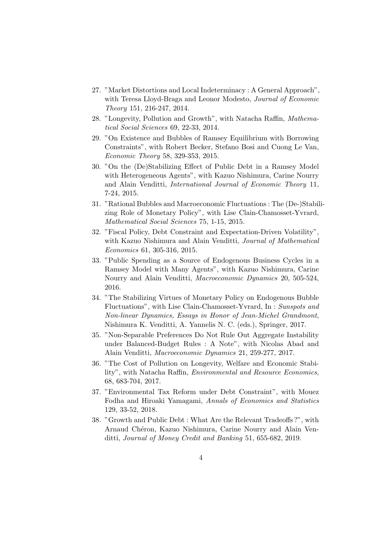- 27. "Market Distortions and Local Indeterminacy : A General Approach", with Teresa Lloyd-Braga and Leonor Modesto, Journal of Economic Theory 151, 216-247, 2014.
- 28. "Longevity, Pollution and Growth", with Natacha Raffin, Mathematical Social Sciences 69, 22-33, 2014.
- 29. "On Existence and Bubbles of Ramsey Equilibrium with Borrowing Constraints", with Robert Becker, Stefano Bosi and Cuong Le Van, Economic Theory 58, 329-353, 2015.
- 30. "On the (De)Stabilizing Effect of Public Debt in a Ramsey Model with Heterogeneous Agents", with Kazuo Nishimura, Carine Nourry and Alain Venditti, International Journal of Economic Theory 11, 7-24, 2015.
- 31. "Rational Bubbles and Macroeconomic Fluctuations : The (De-)Stabilizing Role of Monetary Policy", with Lise Clain-Chamosset-Yvrard, Mathematical Social Sciences 75, 1-15, 2015.
- 32. "Fiscal Policy, Debt Constraint and Expectation-Driven Volatility", with Kazuo Nishimura and Alain Venditti, Journal of Mathematical Economics 61, 305-316, 2015.
- 33. "Public Spending as a Source of Endogenous Business Cycles in a Ramsey Model with Many Agents", with Kazuo Nishimura, Carine Nourry and Alain Venditti, Macroeconomic Dynamics 20, 505-524, 2016.
- 34. "The Stabilizing Virtues of Monetary Policy on Endogenous Bubble Fluctuations", with Lise Clain-Chamosset-Yvrard, In : Sunspots and Non-linear Dynamics, Essays in Honor of Jean-Michel Grandmont, Nishimura K. Venditti, A. Yannelis N. C. (eds.), Springer, 2017.
- 35. "Non-Separable Preferences Do Not Rule Out Aggregate Instability under Balanced-Budget Rules : A Note", with Nicolas Abad and Alain Venditti, Macroeconomic Dynamics 21, 259-277, 2017.
- 36. "The Cost of Pollution on Longevity, Welfare and Economic Stability", with Natacha Raffin, Environmental and Resource Economics, 68, 683-704, 2017.
- 37. "Environmental Tax Reform under Debt Constraint", with Mouez Fodha and Hiroaki Yamagami, Annals of Economics and Statistics 129, 33-52, 2018.
- 38. "Growth and Public Debt : What Are the Relevant Tradeoffs ?", with Arnaud Chéron, Kazuo Nishimura, Carine Nourry and Alain Venditti, Journal of Money Credit and Banking 51, 655-682, 2019.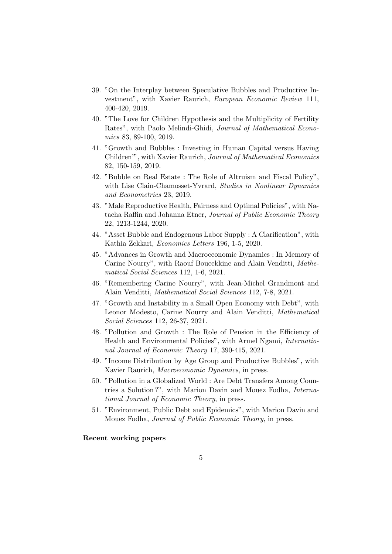- 39. "On the Interplay between Speculative Bubbles and Productive Investment", with Xavier Raurich, European Economic Review 111, 400-420, 2019.
- 40. "The Love for Children Hypothesis and the Multiplicity of Fertility Rates", with Paolo Melindi-Ghidi, Journal of Mathematical Economics 83, 89-100, 2019.
- 41. "Growth and Bubbles : Investing in Human Capital versus Having Children'", with Xavier Raurich, Journal of Mathematical Economics 82, 150-159, 2019.
- 42. "Bubble on Real Estate : The Role of Altruism and Fiscal Policy", with Lise Clain-Chamosset-Yvrard, Studies in Nonlinear Dynamics and Econometrics 23, 2019.
- 43. "Male Reproductive Health, Fairness and Optimal Policies", with Natacha Raffin and Johanna Etner, Journal of Public Economic Theory 22, 1213-1244, 2020.
- 44. "Asset Bubble and Endogenous Labor Supply : A Clarification", with Kathia Zekkari, Economics Letters 196, 1-5, 2020.
- 45. "Advances in Growth and Macroeconomic Dynamics : In Memory of Carine Nourry", with Raouf Boucekkine and Alain Venditti, Mathematical Social Sciences 112, 1-6, 2021.
- 46. "Remembering Carine Nourry", with Jean-Michel Grandmont and Alain Venditti, Mathematical Social Sciences 112, 7-8, 2021.
- 47. "Growth and Instability in a Small Open Economy with Debt", with Leonor Modesto, Carine Nourry and Alain Venditti, Mathematical Social Sciences 112, 26-37, 2021.
- 48. "Pollution and Growth : The Role of Pension in the Efficiency of Health and Environmental Policies", with Armel Ngami, International Journal of Economic Theory 17, 390-415, 2021.
- 49. "Income Distribution by Age Group and Productive Bubbles", with Xavier Raurich, Macroeconomic Dynamics, in press.
- 50. "Pollution in a Globalized World : Are Debt Transfers Among Countries a Solution ?", with Marion Davin and Mouez Fodha, International Journal of Economic Theory, in press.
- 51. "Environment, Public Debt and Epidemics", with Marion Davin and Mouez Fodha, Journal of Public Economic Theory, in press.

#### Recent working papers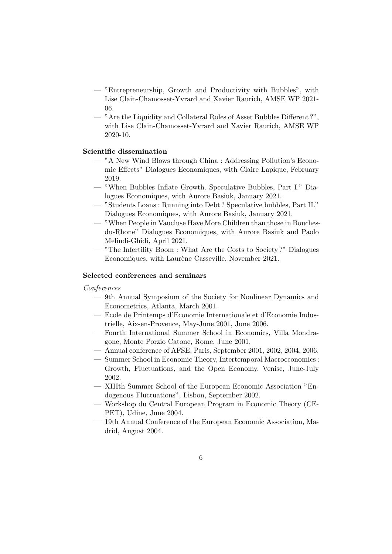- "Entrepreneurship, Growth and Productivity with Bubbles", with Lise Clain-Chamosset-Yvrard and Xavier Raurich, AMSE WP 2021- 06.
- "Are the Liquidity and Collateral Roles of Asset Bubbles Different ?", with Lise Clain-Chamosset-Yvrard and Xavier Raurich, AMSE WP 2020-10.

# Scientific dissemination

- "A New Wind Blows through China : Addressing Pollution's Economic Effects" Dialogues Economiques, with Claire Lapique, February 2019.
- "When Bubbles Inflate Growth. Speculative Bubbles, Part I." Dialogues Economiques, with Aurore Basiuk, January 2021.
- "Students Loans : Running into Debt ? Speculative bubbles, Part II." Dialogues Economiques, with Aurore Basiuk, January 2021.
- "When People in Vaucluse Have More Children than those in Bouchesdu-Rhone" Dialogues Economiques, with Aurore Basiuk and Paolo Melindi-Ghidi, April 2021.
- "The Infertility Boom : What Are the Costs to Society ?" Dialogues Economiques, with Laurène Casseville, November 2021.

#### Selected conferences and seminars

## Conferences

- 9th Annual Symposium of the Society for Nonlinear Dynamics and Econometrics, Atlanta, March 2001.
- Ecole de Printemps d'Economie Internationale et d'Economie Industrielle, Aix-en-Provence, May-June 2001, June 2006.
- Fourth International Summer School in Economics, Villa Mondragone, Monte Porzio Catone, Rome, June 2001.
- Annual conference of AFSE, Paris, September 2001, 2002, 2004, 2006.
- Summer School in Economic Theory, Intertemporal Macroeconomics : Growth, Fluctuations, and the Open Economy, Venise, June-July 2002.
- XIIIth Summer School of the European Economic Association "Endogenous Fluctuations", Lisbon, September 2002.
- Workshop du Central European Program in Economic Theory (CE-PET), Udine, June 2004.
- 19th Annual Conference of the European Economic Association, Madrid, August 2004.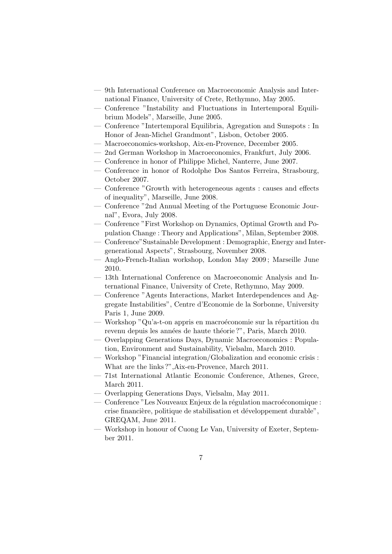- 9th International Conference on Macroeconomic Analysis and International Finance, University of Crete, Rethymno, May 2005.
- Conference "Instability and Fluctuations in Intertemporal Equilibrium Models", Marseille, June 2005.
- Conference "Intertemporal Equilibria, Agregation and Sunspots : In Honor of Jean-Michel Grandmont", Lisbon, October 2005.
- Macroeconomics-workshop, Aix-en-Provence, December 2005.
- 2nd German Workshop in Macroeconomics, Frankfurt, July 2006.
- Conference in honor of Philippe Michel, Nanterre, June 2007.
- Conference in honor of Rodolphe Dos Santos Ferreira, Strasbourg, October 2007.
- Conference "Growth with heterogeneous agents : causes and effects of inequality", Marseille, June 2008.
- Conference "2nd Annual Meeting of the Portuguese Economic Journal", Evora, July 2008.
- Conference "First Workshop on Dynamics, Optimal Growth and Population Change : Theory and Applications", Milan, September 2008.
- Conference"Sustainable Development : Demographic, Energy and Intergenerational Aspects", Strasbourg, November 2008.
- Anglo-French-Italian workshop, London May 2009 ; Marseille June 2010.
- 13th International Conference on Macroeconomic Analysis and International Finance, University of Crete, Rethymno, May 2009.
- Conference "Agents Interactions, Market Interdependences and Aggregate Instabilities", Centre d'Economie de la Sorbonne, University Paris 1, June 2009.
- Workshop "Qu'a-t-on appris en macroéconomie sur la répartition du revenu depuis les années de haute théorie ?", Paris, March 2010.
- Overlapping Generations Days, Dynamic Macroeconomics : Population, Environment and Sustainability, Vielsalm, March 2010.
- Workshop "Financial integration/Globalization and economic crisis : What are the links ?",Aix-en-Provence, March 2011.
- 71st International Atlantic Economic Conference, Athenes, Grece, March 2011.
- Overlapping Generations Days, Vielsalm, May 2011.
- Conference "Les Nouveaux Enjeux de la régulation macroéconomique : crise financière, politique de stabilisation et développement durable", GREQAM, June 2011.
- Workshop in honour of Cuong Le Van, University of Exeter, September 2011.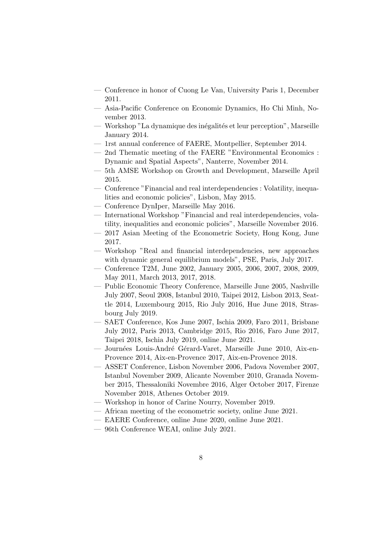- Conference in honor of Cuong Le Van, University Paris 1, December 2011.
- Asia-Pacific Conference on Economic Dynamics, Ho Chi Minh, November 2013.
- Workshop "La dynamique des inégalités et leur perception", Marseille January 2014.
- 1rst annual conference of FAERE, Montpellier, September 2014.
- 2nd Thematic meeting of the FAERE "Environmental Economics : Dynamic and Spatial Aspects", Nanterre, November 2014.
- 5th AMSE Workshop on Growth and Development, Marseille April 2015.
- Conference "Financial and real interdependencies : Volatility, inequalities and economic policies", Lisbon, May 2015.
- Conference DynIper, Marseille May 2016.
- International Workshop "Financial and real interdependencies, volatility, inequalities and economic policies", Marseille November 2016.
- 2017 Asian Meeting of the Econometric Society, Hong Kong, June 2017.
- Workshop "Real and financial interdependencies, new approaches with dynamic general equilibrium models", PSE, Paris, July 2017.
- Conference T2M, June 2002, January 2005, 2006, 2007, 2008, 2009, May 2011, March 2013, 2017, 2018.
- Public Economic Theory Conference, Marseille June 2005, Nashville July 2007, Seoul 2008, Istanbul 2010, Taipei 2012, Lisbon 2013, Seattle 2014, Luxembourg 2015, Rio July 2016, Hue June 2018, Strasbourg July 2019.
- SAET Conference, Kos June 2007, Ischia 2009, Faro 2011, Brisbane July 2012, Paris 2013, Cambridge 2015, Rio 2016, Faro June 2017, Taipei 2018, Ischia July 2019, online June 2021.
- Journées Louis-André Gérard-Varet, Marseille June 2010, Aix-en-Provence 2014, Aix-en-Provence 2017, Aix-en-Provence 2018.
- ASSET Conference, Lisbon November 2006, Padova November 2007, Istanbul November 2009, Alicante November 2010, Granada November 2015, Thessaloniki Novembre 2016, Alger October 2017, Firenze November 2018, Athenes October 2019.
- Workshop in honor of Carine Nourry, November 2019.
- African meeting of the econometric society, online June 2021.
- EAERE Conference, online June 2020, online June 2021.
- 96th Conference WEAI, online July 2021.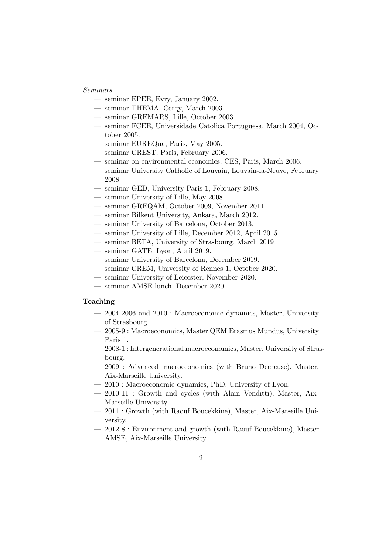#### Seminars

- seminar EPEE, Evry, January 2002.
- seminar THEMA, Cergy, March 2003.
- seminar GREMARS, Lille, October 2003.
- seminar FCEE, Universidade Catolica Portuguesa, March 2004, October 2005.
- seminar EUREQua, Paris, May 2005.
- seminar CREST, Paris, February 2006.
- seminar on environmental economics, CES, Paris, March 2006.
- seminar University Catholic of Louvain, Louvain-la-Neuve, February 2008.
- seminar GED, University Paris 1, February 2008.
- seminar University of Lille, May 2008.
- seminar GREQAM, October 2009, November 2011.
- seminar Bilkent University, Ankara, March 2012.
- seminar University of Barcelona, October 2013.
- seminar University of Lille, December 2012, April 2015.
- seminar BETA, University of Strasbourg, March 2019.
- seminar GATE, Lyon, April 2019.
- seminar University of Barcelona, December 2019.
- seminar CREM, University of Rennes 1, October 2020.
- seminar University of Leicester, November 2020.
- seminar AMSE-lunch, December 2020.

#### Teaching

- 2004-2006 and 2010 : Macroeconomic dynamics, Master, University of Strasbourg.
- 2005-9 : Macroeconomics, Master QEM Erasmus Mundus, University Paris 1.
- 2008-1 : Intergenerational macroeconomics, Master, University of Strasbourg.
- 2009 : Advanced macroeconomics (with Bruno Decreuse), Master, Aix-Marseille University.
- 2010 : Macroeconomic dynamics, PhD, University of Lyon.
- 2010-11 : Growth and cycles (with Alain Venditti), Master, Aix-Marseille University.
- 2011 : Growth (with Raouf Boucekkine), Master, Aix-Marseille University.
- 2012-8 : Environment and growth (with Raouf Boucekkine), Master AMSE, Aix-Marseille University.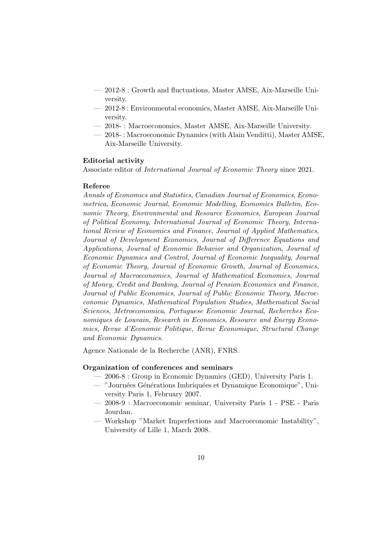- 2012-8 : Growth and fluctuations, Master AMSE, Aix-Marseille University.
- 2012-8 : Environmental economics, Master AMSE, Aix-Marseille University.
- 2018- : Macroeconomics, Master AMSE, Aix-Marseille University.
- 2018- : Macroeconomic Dynamics (with Alain Venditti), Master AMSE, Aix-Marseille University.

#### Editorial activity

Associate editor of International Journal of Economic Theory since 2021.

#### Referee

Annals of Economics and Statistics, Canadian Journal of Economics, Econometrica, Economic Journal, Economic Modelling, Economics Bulletin, Economic Theory, Environmental and Resource Economics, European Journal of Political Economy, International Journal of Economic Theory, International Review of Economics and Finance, Journal of Applied Mathematics, Journal of Development Economics, Journal of Difference Equations and Applications, Journal of Economic Behavior and Organization, Journal of Economic Dynamics and Control, Journal of Economic Inequality, Journal of Economic Theory, Journal of Economic Growth, Journal of Economics, Journal of Macroeconomics, Journal of Mathematical Economics, Journal of Money, Credit and Banking, Journal of Pension Economics and Finance, Journal of Public Economics, Journal of Public Economic Theory, Macroeconomic Dynamics, Mathematical Population Studies, Mathematical Social Sciences, Metroeconomica, Portuguese Economic Journal, Recherches Economiques de Louvain, Research in Economics, Resource and Energy Economics, Revue d'Economie Politique, Revue Economique, Structural Change and Economic Dynamics.

Agence Nationale de la Recherche (ANR), FNRS.

# Organization of conferences and seminars

- 2006-8 : Group in Economic Dynamics (GED), University Paris 1.
- "Journées Générations Imbriquées et Dynamique Economique", University Paris 1, February 2007.
- 2008-9 : Macroeconomic seminar, University Paris 1 PSE Paris Jourdan.
- Workshop "Market Imperfections and Macroeconomic Instability", University of Lille 1, March 2008.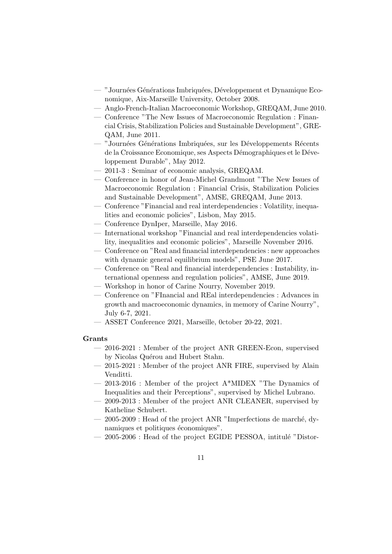- "Journées Générations Imbriquées, Développement et Dynamique Economique, Aix-Marseille University, October 2008.
- Anglo-French-Italian Macroeconomic Workshop, GREQAM, June 2010.
- Conference "The New Issues of Macroeconomic Regulation : Financial Crisis, Stabilization Policies and Sustainable Development", GRE-QAM, June 2011.
- "Journées Générations Imbriquées, sur les Développements Récents de la Croissance Economique, ses Aspects Démographiques et le Développement Durable", May 2012.
- 2011-3 : Seminar of economic analysis, GREQAM.
- Conference in honor of Jean-Michel Grandmont "The New Issues of Macroeconomic Regulation : Financial Crisis, Stabilization Policies and Sustainable Development", AMSE, GREQAM, June 2013.
- Conference "Financial and real interdependencies : Volatility, inequalities and economic policies", Lisbon, May 2015.
- Conference DynIper, Marseille, May 2016.
- International workshop "Financial and real interdependencies volatility, inequalities and economic policies", Marseille November 2016.
- Conference on "Real and financial interdependencies : new approaches with dynamic general equilibrium models", PSE June 2017.
- Conference on "Real and financial interdependencies : Instability, international openness and regulation policies", AMSE, June 2019.
- Workshop in honor of Carine Nourry, November 2019.
- Conference on "FInancial and REal interdependencies : Advances in growth and macroeconomic dynamics, in memory of Carine Nourry", July 6-7, 2021.
- ASSET Conference 2021, Marseille, 0ctober 20-22, 2021.

#### Grants

- 2016-2021 : Member of the project ANR GREEN-Econ, supervised by Nicolas Quérou and Hubert Stahn.
- 2015-2021 : Member of the project ANR FIRE, supervised by Alain Venditti.
- 2013-2016 : Member of the project A\*MIDEX "The Dynamics of Inequalities and their Perceptions", supervised by Michel Lubrano.
- 2009-2013 : Member of the project ANR CLEANER, supervised by Katheline Schubert.
- $-2005-2009$ : Head of the project ANR "Imperfections de marché, dynamiques et politiques économiques".
- $-2005-2006$ : Head of the project EGIDE PESSOA, intitulé "Distor-